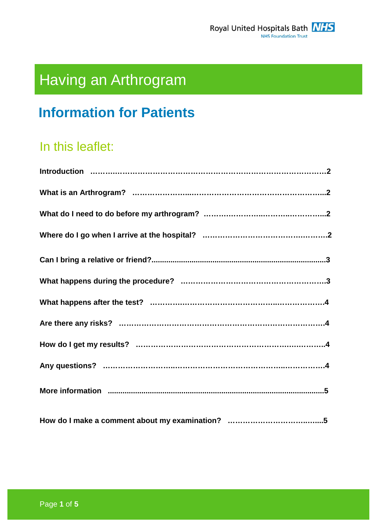

# Having an Arthrogram

# **Information for Patients**

# In this leaflet: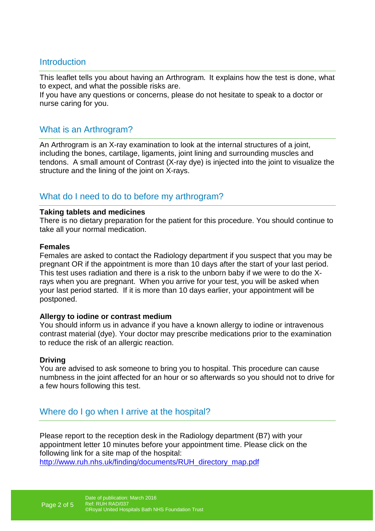#### **Introduction**

This leaflet tells you about having an Arthrogram. It explains how the test is done, what to expect, and what the possible risks are.

If you have any questions or concerns, please do not hesitate to speak to a doctor or nurse caring for you.

#### What is an Arthrogram?

An Arthrogram is an X-ray examination to look at the internal structures of a joint, including the bones, cartilage, ligaments, joint lining and surrounding muscles and tendons. A small amount of Contrast (X-ray dye) is injected into the joint to visualize the structure and the lining of the joint on X-rays.

#### What do I need to do to before my arthrogram?

#### **Taking tablets and medicines**

There is no dietary preparation for the patient for this procedure. You should continue to take all your normal medication.

#### **Females**

Females are asked to contact the Radiology department if you suspect that you may be pregnant OR if the appointment is more than 10 days after the start of your last period. This test uses radiation and there is a risk to the unborn baby if we were to do the Xrays when you are pregnant. When you arrive for your test, you will be asked when your last period started. If it is more than 10 days earlier, your appointment will be postponed.

#### **Allergy to iodine or contrast medium**

You should inform us in advance if you have a known allergy to iodine or intravenous contrast material (dye). Your doctor may prescribe medications prior to the examination to reduce the risk of an allergic reaction.

#### **Driving**

You are advised to ask someone to bring you to hospital. This procedure can cause numbness in the joint affected for an hour or so afterwards so you should not to drive for a few hours following this test.

#### Where do I go when I arrive at the hospital?

Please report to the reception desk in the Radiology department (B7) with your appointment letter 10 minutes before your appointment time. Please click on the following link for a site map of the hospital:

http://www.ruh.nhs.uk/finding/documents/RUH\_directory\_map.pdf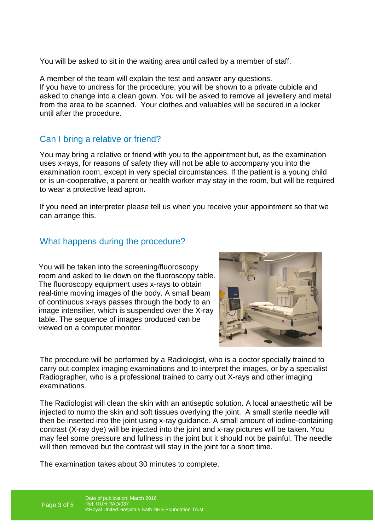You will be asked to sit in the waiting area until called by a member of staff.

A member of the team will explain the test and answer any questions. If you have to undress for the procedure, you will be shown to a private cubicle and asked to change into a clean gown. You will be asked to remove all jewellery and metal from the area to be scanned. Your clothes and valuables will be secured in a locker until after the procedure.

# Can I bring a relative or friend?

You may bring a relative or friend with you to the appointment but, as the examination uses x-rays, for reasons of safety they will not be able to accompany you into the examination room, except in very special circumstances. If the patient is a young child or is un-cooperative, a parent or health worker may stay in the room, but will be required to wear a protective lead apron.

If you need an interpreter please tell us when you receive your appointment so that we can arrange this.

### What happens during the procedure?

You will be taken into the screening/fluoroscopy room and asked to lie down on the fluoroscopy table. The fluoroscopy equipment uses x-rays to obtain real-time moving images of the body. A small beam of continuous x-rays passes through the body to an image intensifier, which is suspended over the X-ray table. The sequence of images produced can be viewed on a computer monitor.



The procedure will be performed by a Radiologist, who is a doctor specially trained to carry out complex imaging examinations and to interpret the images, or by a specialist Radiographer, who is a professional trained to carry out X-rays and other imaging examinations.

The Radiologist will clean the skin with an antiseptic solution. A local anaesthetic will be injected to numb the skin and soft tissues overlying the joint. A small sterile needle will then be inserted into the joint using x-ray guidance. A small amount of iodine-containing contrast (X-ray dye) will be injected into the joint and x-ray pictures will be taken. You may feel some pressure and fullness in the joint but it should not be painful. The needle will then removed but the contrast will stay in the joint for a short time.

The examination takes about 30 minutes to complete.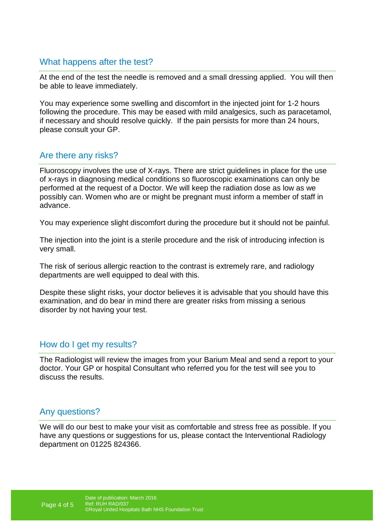### What happens after the test?

At the end of the test the needle is removed and a small dressing applied. You will then be able to leave immediately.

You may experience some swelling and discomfort in the injected joint for 1-2 hours following the procedure. This may be eased with mild analgesics, such as paracetamol, if necessary and should resolve quickly. If the pain persists for more than 24 hours, please consult your GP.

### Are there any risks?

Fluoroscopy involves the use of X-rays. There are strict guidelines in place for the use of x-rays in diagnosing medical conditions so fluoroscopic examinations can only be performed at the request of a Doctor. We will keep the radiation dose as low as we possibly can. Women who are or might be pregnant must inform a member of staff in advance.

You may experience slight discomfort during the procedure but it should not be painful.

The injection into the joint is a sterile procedure and the risk of introducing infection is very small.

The risk of serious allergic reaction to the contrast is extremely rare, and radiology departments are well equipped to deal with this.

Despite these slight risks, your doctor believes it is advisable that you should have this examination, and do bear in mind there are greater risks from missing a serious disorder by not having your test.

#### How do I get my results?

The Radiologist will review the images from your Barium Meal and send a report to your doctor. Your GP or hospital Consultant who referred you for the test will see you to discuss the results.

## Any questions?

We will do our best to make your visit as comfortable and stress free as possible. If you have any questions or suggestions for us, please contact the Interventional Radiology department on 01225 824366.